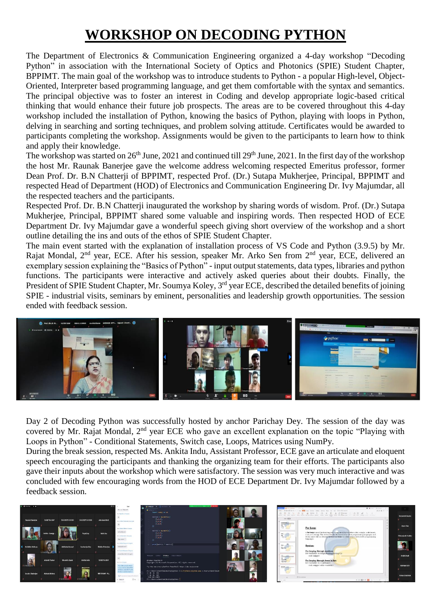## **WORKSHOP ON DECODING PYTHON**

The Department of Electronics & Communication Engineering organized a 4-day workshop "Decoding Python" in association with the International Society of Optics and Photonics (SPIE) Student Chapter, BPPIMT. The main goal of the workshop was to introduce students to Python - a popular High-level, Object-Oriented, Interpreter based programming language, and get them comfortable with the syntax and semantics. The principal objective was to foster an interest in Coding and develop appropriate logic-based critical thinking that would enhance their future job prospects. The areas are to be covered throughout this 4-day workshop included the installation of Python, knowing the basics of Python, playing with loops in Python, delving in searching and sorting techniques, and problem solving attitude. Certificates would be awarded to participants completing the workshop. Assignments would be given to the participants to learn how to think and apply their knowledge.

The workshop was started on  $26<sup>th</sup>$  June, 2021 and continued till  $29<sup>th</sup>$  June, 2021. In the first day of the workshop the host Mr. Raunak Banerjee gave the welcome address welcoming respected Emeritus professor, former Dean Prof. Dr. B.N Chatterji of BPPIMT, respected Prof. (Dr.) Sutapa Mukherjee, Principal, BPPIMT and respected Head of Department (HOD) of Electronics and Communication Engineering Dr. Ivy Majumdar, all the respected teachers and the participants.

Respected Prof. Dr. B.N Chatterji inaugurated the workshop by sharing words of wisdom. Prof. (Dr.) Sutapa Mukherjee, Principal, BPPIMT shared some valuable and inspiring words. Then respected HOD of ECE Department Dr. Ivy Majumdar gave a wonderful speech giving short overview of the workshop and a short outline detailing the ins and outs of the ethos of SPIE Student Chapter.

The main event started with the explanation of installation process of VS Code and Python (3.9.5) by Mr. Rajat Mondal, 2<sup>nd</sup> year, ECE. After his session, speaker Mr. Arko Sen from 2<sup>nd</sup> year, ECE, delivered an exemplary session explaining the "Basics of Python" - input output statements, data types, libraries and python functions. The participants were interactive and actively asked queries about their doubts. Finally, the President of SPIE Student Chapter, Mr. Soumya Koley, 3<sup>rd</sup> year ECE, described the detailed benefits of joining SPIE - industrial visits, seminars by eminent, personalities and leadership growth opportunities. The session ended with feedback session.



Day 2 of Decoding Python was successfully hosted by anchor Parichay Dey. The session of the day was covered by Mr. Rajat Mondal, 2nd year ECE who gave an excellent explanation on the topic "Playing with Loops in Python" - Conditional Statements, Switch case, Loops, Matrices using NumPy.

During the break session, respected Ms. Ankita Indu, Assistant Professor, ECE gave an articulate and eloquent speech encouraging the participants and thanking the organizing team for their efforts. The participants also gave their inputs about the workshop which were satisfactory. The session was very much interactive and was concluded with few encouraging words from the HOD of ECE Department Dr. Ivy Majumdar followed by a feedback session.